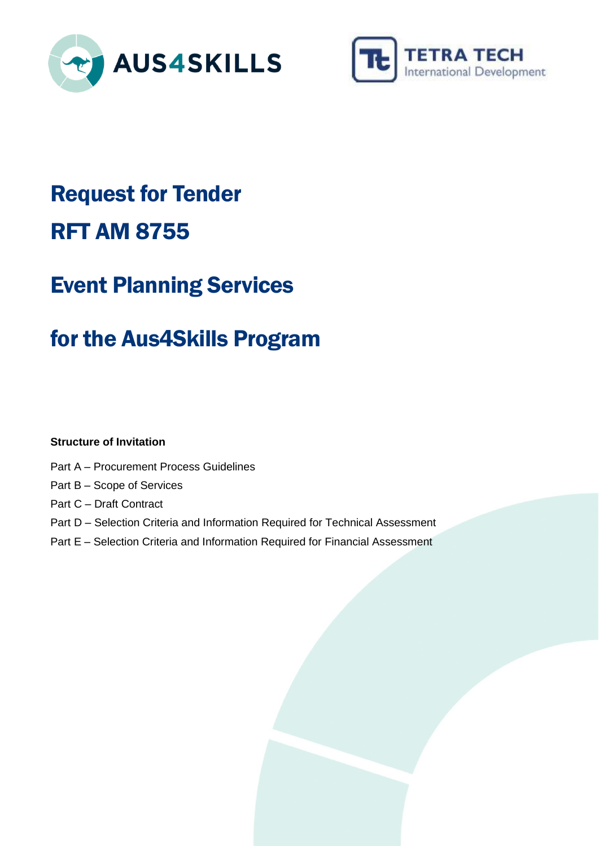



# Request for Tender RFT AM 8755

# Event Planning Services

# for the Aus4Skills Program

# **Structure of Invitation**

- Part A Procurement Process Guidelines
- Part B Scope of Services
- Part C Draft Contract
- Part D Selection Criteria and Information Required for Technical Assessment
- Part E Selection Criteria and Information Required for Financial Assessment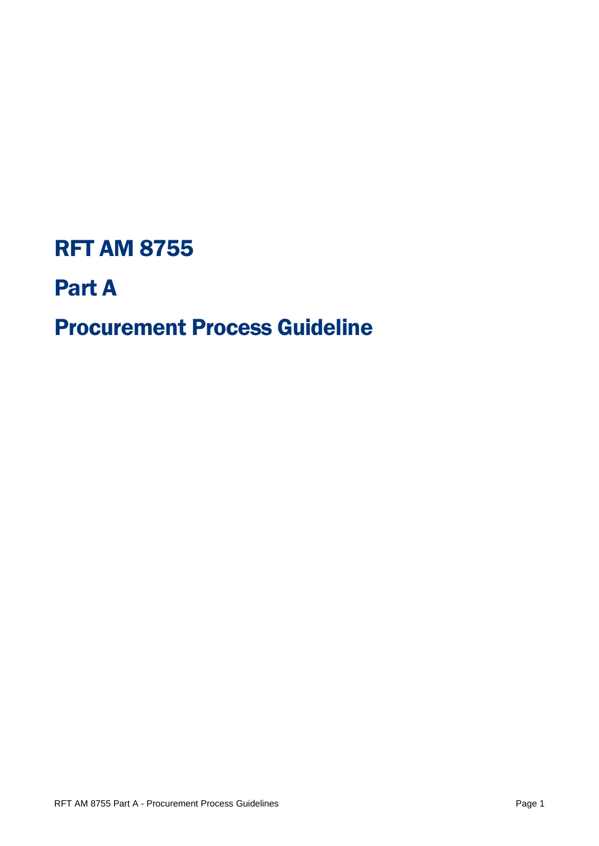# RFT AM 8755

# Part A

# Procurement Process Guideline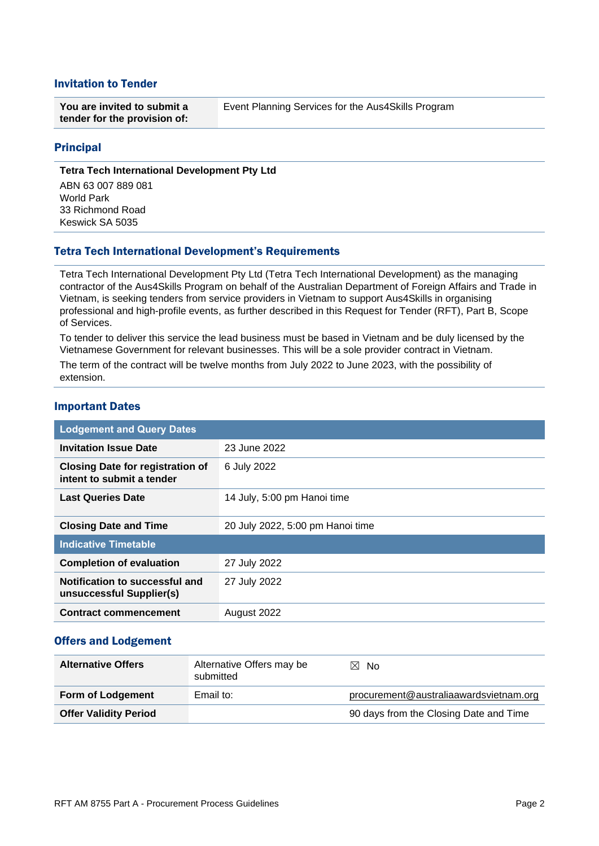### Invitation to Tender

| You are invited to submit a  | Event Planning Services for the Aus4Skills Program |  |
|------------------------------|----------------------------------------------------|--|
| tender for the provision of: |                                                    |  |

#### Principal

#### **Tetra Tech International Development Pty Ltd**

ABN 63 007 889 081 World Park 33 Richmond Road Keswick SA 5035

#### Tetra Tech International Development's Requirements

Tetra Tech International Development Pty Ltd (Tetra Tech International Development) as the managing contractor of the Aus4Skills Program on behalf of the Australian Department of Foreign Affairs and Trade in Vietnam, is seeking tenders from service providers in Vietnam to support Aus4Skills in organising professional and high-profile events, as further described in this Request for Tender (RFT), Part B, Scope of Services.

To tender to deliver this service the lead business must be based in Vietnam and be duly licensed by the Vietnamese Government for relevant businesses. This will be a sole provider contract in Vietnam.

The term of the contract will be twelve months from July 2022 to June 2023, with the possibility of extension.

#### Important Dates

| <b>Lodgement and Query Dates</b>                                     |                                  |  |
|----------------------------------------------------------------------|----------------------------------|--|
| <b>Invitation Issue Date</b>                                         | 23 June 2022                     |  |
| <b>Closing Date for registration of</b><br>intent to submit a tender | 6 July 2022                      |  |
| <b>Last Queries Date</b>                                             | 14 July, 5:00 pm Hanoi time      |  |
| <b>Closing Date and Time</b>                                         | 20 July 2022, 5:00 pm Hanoi time |  |
| <b>Indicative Timetable</b>                                          |                                  |  |
| <b>Completion of evaluation</b>                                      | 27 July 2022                     |  |
| Notification to successful and<br>unsuccessful Supplier(s)           | 27 July 2022                     |  |
| <b>Contract commencement</b>                                         | August 2022                      |  |

#### Offers and Lodgement

| <b>Alternative Offers</b>    | Alternative Offers may be<br>submitted | $\boxtimes$ No                         |
|------------------------------|----------------------------------------|----------------------------------------|
| <b>Form of Lodgement</b>     | Email to:                              | procurement@australiaawardsvietnam.org |
| <b>Offer Validity Period</b> |                                        | 90 days from the Closing Date and Time |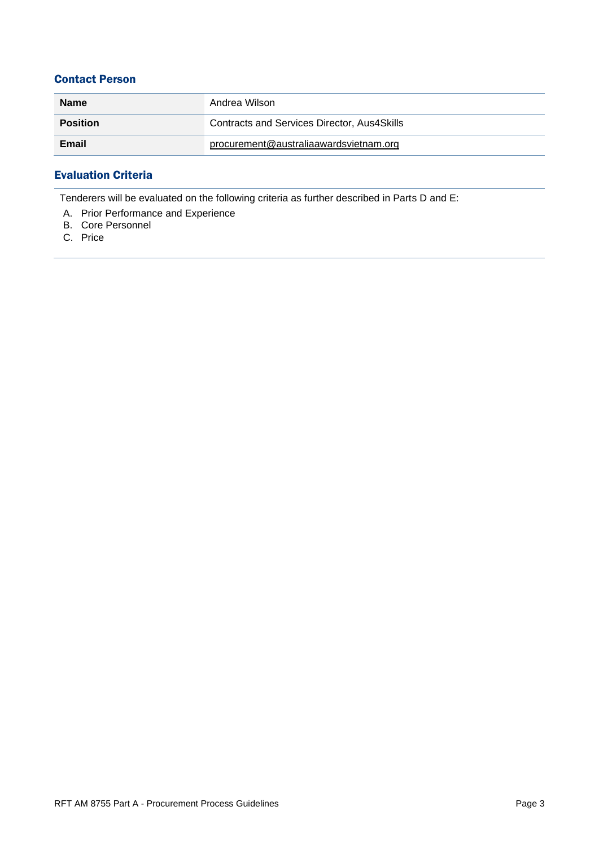# Contact Person

| <b>Name</b>     | Andrea Wilson                               |
|-----------------|---------------------------------------------|
| <b>Position</b> | Contracts and Services Director, Aus4Skills |
| Email           | procurement@australiaawardsvietnam.org      |

# Evaluation Criteria

Tenderers will be evaluated on the following criteria as further described in Parts D and E:

- A. Prior Performance and Experience
- B. Core Personnel
- C. Price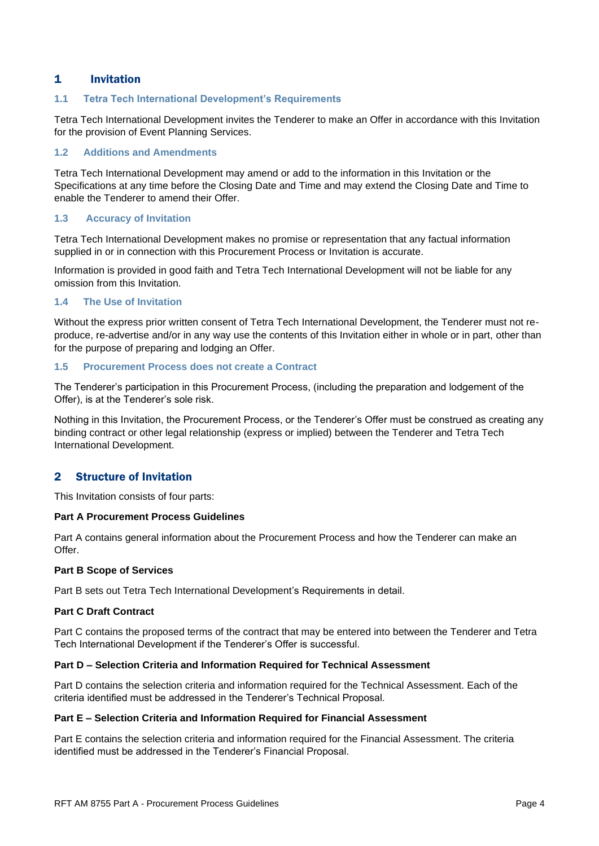## 1 Invitation

#### **1.1 Tetra Tech International Development's Requirements**

Tetra Tech International Development invites the Tenderer to make an Offer in accordance with this Invitation for the provision of Event Planning Services.

#### **1.2 Additions and Amendments**

Tetra Tech International Development may amend or add to the information in this Invitation or the Specifications at any time before the Closing Date and Time and may extend the Closing Date and Time to enable the Tenderer to amend their Offer.

#### **1.3 Accuracy of Invitation**

Tetra Tech International Development makes no promise or representation that any factual information supplied in or in connection with this Procurement Process or Invitation is accurate.

Information is provided in good faith and Tetra Tech International Development will not be liable for any omission from this Invitation.

#### **1.4 The Use of Invitation**

Without the express prior written consent of Tetra Tech International Development, the Tenderer must not reproduce, re-advertise and/or in any way use the contents of this Invitation either in whole or in part, other than for the purpose of preparing and lodging an Offer.

#### **1.5 Procurement Process does not create a Contract**

The Tenderer's participation in this Procurement Process, (including the preparation and lodgement of the Offer), is at the Tenderer's sole risk.

Nothing in this Invitation, the Procurement Process, or the Tenderer's Offer must be construed as creating any binding contract or other legal relationship (express or implied) between the Tenderer and Tetra Tech International Development.

#### 2 Structure of Invitation

This Invitation consists of four parts:

#### **Part A Procurement Process Guidelines**

Part A contains general information about the Procurement Process and how the Tenderer can make an Offer.

#### **Part B Scope of Services**

Part B sets out Tetra Tech International Development's Requirements in detail.

#### **Part C Draft Contract**

Part C contains the proposed terms of the contract that may be entered into between the Tenderer and Tetra Tech International Development if the Tenderer's Offer is successful.

#### **Part D – Selection Criteria and Information Required for Technical Assessment**

Part D contains the selection criteria and information required for the Technical Assessment. Each of the criteria identified must be addressed in the Tenderer's Technical Proposal.

#### **Part E – Selection Criteria and Information Required for Financial Assessment**

Part E contains the selection criteria and information required for the Financial Assessment. The criteria identified must be addressed in the Tenderer's Financial Proposal.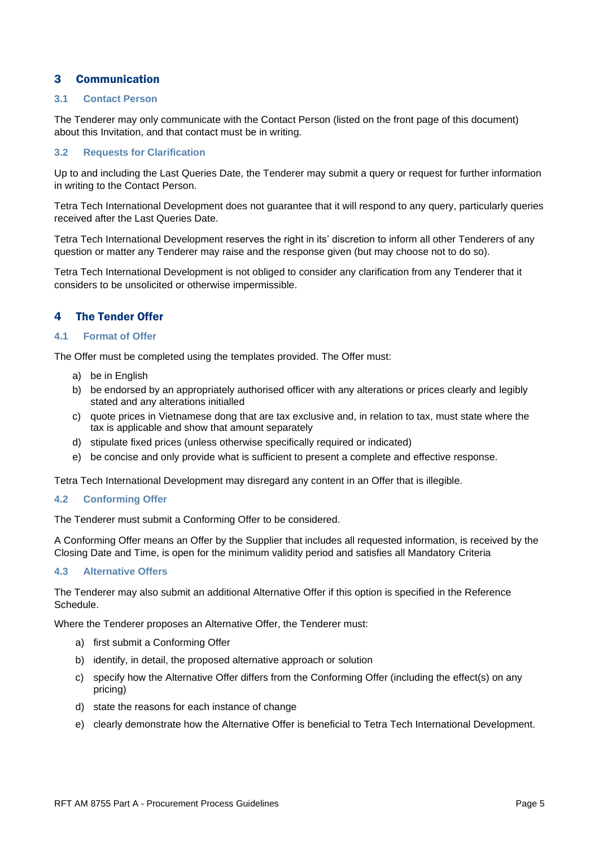# 3 Communication

#### **3.1 Contact Person**

The Tenderer may only communicate with the Contact Person (listed on the front page of this document) about this Invitation, and that contact must be in writing.

#### **3.2 Requests for Clarification**

Up to and including the Last Queries Date, the Tenderer may submit a query or request for further information in writing to the Contact Person.

Tetra Tech International Development does not guarantee that it will respond to any query, particularly queries received after the Last Queries Date.

Tetra Tech International Development reserves the right in its' discretion to inform all other Tenderers of any question or matter any Tenderer may raise and the response given (but may choose not to do so).

Tetra Tech International Development is not obliged to consider any clarification from any Tenderer that it considers to be unsolicited or otherwise impermissible.

#### 4 The Tender Offer

#### **4.1 Format of Offer**

The Offer must be completed using the templates provided. The Offer must:

- a) be in English
- b) be endorsed by an appropriately authorised officer with any alterations or prices clearly and legibly stated and any alterations initialled
- c) quote prices in Vietnamese dong that are tax exclusive and, in relation to tax, must state where the tax is applicable and show that amount separately
- d) stipulate fixed prices (unless otherwise specifically required or indicated)
- e) be concise and only provide what is sufficient to present a complete and effective response.

Tetra Tech International Development may disregard any content in an Offer that is illegible.

#### **4.2 Conforming Offer**

The Tenderer must submit a Conforming Offer to be considered.

A Conforming Offer means an Offer by the Supplier that includes all requested information, is received by the Closing Date and Time, is open for the minimum validity period and satisfies all Mandatory Criteria

#### **4.3 Alternative Offers**

The Tenderer may also submit an additional Alternative Offer if this option is specified in the Reference Schedule.

Where the Tenderer proposes an Alternative Offer, the Tenderer must:

- a) first submit a Conforming Offer
- b) identify, in detail, the proposed alternative approach or solution
- c) specify how the Alternative Offer differs from the Conforming Offer (including the effect(s) on any pricing)
- d) state the reasons for each instance of change
- e) clearly demonstrate how the Alternative Offer is beneficial to Tetra Tech International Development.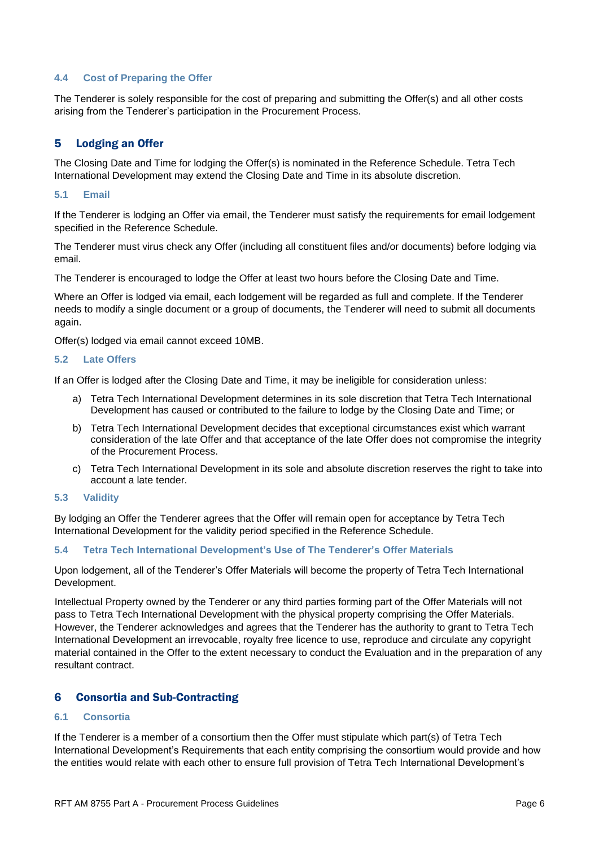#### **4.4 Cost of Preparing the Offer**

The Tenderer is solely responsible for the cost of preparing and submitting the Offer(s) and all other costs arising from the Tenderer's participation in the Procurement Process.

# 5 Lodging an Offer

The Closing Date and Time for lodging the Offer(s) is nominated in the Reference Schedule. Tetra Tech International Development may extend the Closing Date and Time in its absolute discretion.

#### **5.1 Email**

If the Tenderer is lodging an Offer via email, the Tenderer must satisfy the requirements for email lodgement specified in the Reference Schedule.

The Tenderer must virus check any Offer (including all constituent files and/or documents) before lodging via email.

The Tenderer is encouraged to lodge the Offer at least two hours before the Closing Date and Time.

Where an Offer is lodged via email, each lodgement will be regarded as full and complete. If the Tenderer needs to modify a single document or a group of documents, the Tenderer will need to submit all documents again.

Offer(s) lodged via email cannot exceed 10MB.

#### **5.2 Late Offers**

If an Offer is lodged after the Closing Date and Time, it may be ineligible for consideration unless:

- a) Tetra Tech International Development determines in its sole discretion that Tetra Tech International Development has caused or contributed to the failure to lodge by the Closing Date and Time; or
- b) Tetra Tech International Development decides that exceptional circumstances exist which warrant consideration of the late Offer and that acceptance of the late Offer does not compromise the integrity of the Procurement Process.
- c) Tetra Tech International Development in its sole and absolute discretion reserves the right to take into account a late tender.

#### **5.3 Validity**

By lodging an Offer the Tenderer agrees that the Offer will remain open for acceptance by Tetra Tech International Development for the validity period specified in the Reference Schedule.

#### **5.4 Tetra Tech International Development's Use of The Tenderer's Offer Materials**

Upon lodgement, all of the Tenderer's Offer Materials will become the property of Tetra Tech International Development.

Intellectual Property owned by the Tenderer or any third parties forming part of the Offer Materials will not pass to Tetra Tech International Development with the physical property comprising the Offer Materials. However, the Tenderer acknowledges and agrees that the Tenderer has the authority to grant to Tetra Tech International Development an irrevocable, royalty free licence to use, reproduce and circulate any copyright material contained in the Offer to the extent necessary to conduct the Evaluation and in the preparation of any resultant contract.

### 6 Consortia and Sub-Contracting

#### **6.1 Consortia**

If the Tenderer is a member of a consortium then the Offer must stipulate which part(s) of Tetra Tech International Development's Requirements that each entity comprising the consortium would provide and how the entities would relate with each other to ensure full provision of Tetra Tech International Development's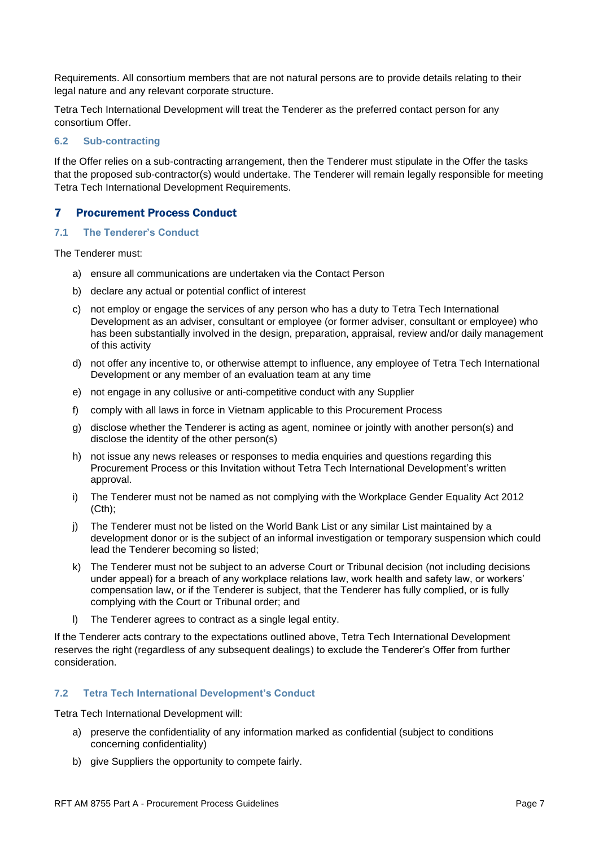Requirements. All consortium members that are not natural persons are to provide details relating to their legal nature and any relevant corporate structure.

Tetra Tech International Development will treat the Tenderer as the preferred contact person for any consortium Offer.

#### **6.2 Sub-contracting**

If the Offer relies on a sub-contracting arrangement, then the Tenderer must stipulate in the Offer the tasks that the proposed sub-contractor(s) would undertake. The Tenderer will remain legally responsible for meeting Tetra Tech International Development Requirements.

#### 7 Procurement Process Conduct

#### **7.1 The Tenderer's Conduct**

The Tenderer must:

- a) ensure all communications are undertaken via the Contact Person
- b) declare any actual or potential conflict of interest
- c) not employ or engage the services of any person who has a duty to Tetra Tech International Development as an adviser, consultant or employee (or former adviser, consultant or employee) who has been substantially involved in the design, preparation, appraisal, review and/or daily management of this activity
- d) not offer any incentive to, or otherwise attempt to influence, any employee of Tetra Tech International Development or any member of an evaluation team at any time
- e) not engage in any collusive or anti-competitive conduct with any Supplier
- f) comply with all laws in force in Vietnam applicable to this Procurement Process
- g) disclose whether the Tenderer is acting as agent, nominee or jointly with another person(s) and disclose the identity of the other person(s)
- h) not issue any news releases or responses to media enquiries and questions regarding this Procurement Process or this Invitation without Tetra Tech International Development's written approval.
- i) The Tenderer must not be named as not complying with the Workplace Gender Equality Act 2012 (Cth);
- j) The Tenderer must not be listed on the World Bank List or any similar List maintained by a development donor or is the subject of an informal investigation or temporary suspension which could lead the Tenderer becoming so listed;
- k) The Tenderer must not be subject to an adverse Court or Tribunal decision (not including decisions under appeal) for a breach of any workplace relations law, work health and safety law, or workers' compensation law, or if the Tenderer is subject, that the Tenderer has fully complied, or is fully complying with the Court or Tribunal order; and
- l) The Tenderer agrees to contract as a single legal entity.

If the Tenderer acts contrary to the expectations outlined above, Tetra Tech International Development reserves the right (regardless of any subsequent dealings) to exclude the Tenderer's Offer from further consideration.

#### **7.2 Tetra Tech International Development's Conduct**

Tetra Tech International Development will:

- a) preserve the confidentiality of any information marked as confidential (subject to conditions concerning confidentiality)
- b) give Suppliers the opportunity to compete fairly.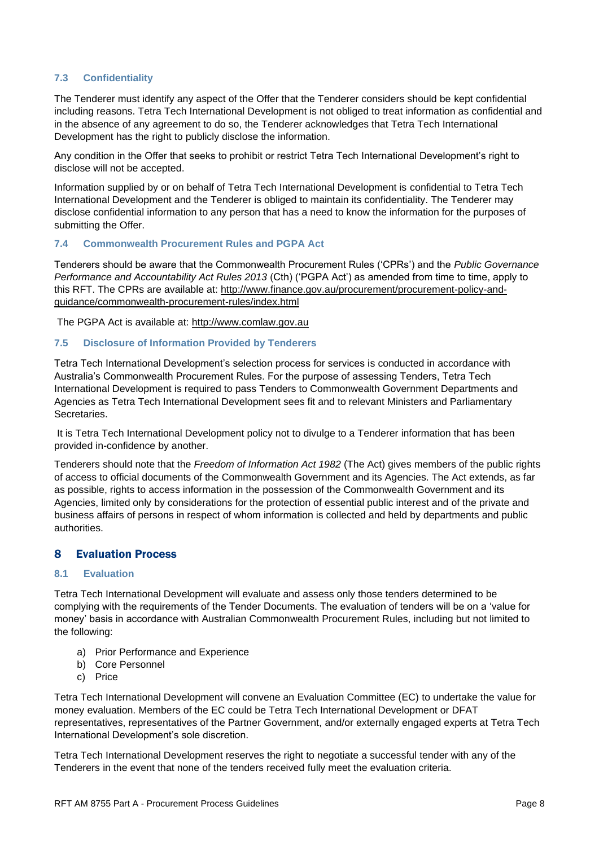#### **7.3 Confidentiality**

The Tenderer must identify any aspect of the Offer that the Tenderer considers should be kept confidential including reasons. Tetra Tech International Development is not obliged to treat information as confidential and in the absence of any agreement to do so, the Tenderer acknowledges that Tetra Tech International Development has the right to publicly disclose the information.

Any condition in the Offer that seeks to prohibit or restrict Tetra Tech International Development's right to disclose will not be accepted.

Information supplied by or on behalf of Tetra Tech International Development is confidential to Tetra Tech International Development and the Tenderer is obliged to maintain its confidentiality. The Tenderer may disclose confidential information to any person that has a need to know the information for the purposes of submitting the Offer.

#### **7.4 Commonwealth Procurement Rules and PGPA Act**

Tenderers should be aware that the Commonwealth Procurement Rules ('CPRs') and the *Public Governance Performance and Accountability Act Rules 2013* (Cth) ('PGPA Act') as amended from time to time, apply to this RFT. The CPRs are available at: [http://www.finance.gov.au/procurement/procurement-policy-and](http://www.finance.gov.au/procurement/procurement-policy-and-guidance/commonwealth-procurement-rules/index.html)[guidance/commonwealth-procurement-rules/index.html](http://www.finance.gov.au/procurement/procurement-policy-and-guidance/commonwealth-procurement-rules/index.html)

The PGPA Act is available at: [http://www.comlaw.gov.au](http://www.comlaw.gov.au/)

#### **7.5 Disclosure of Information Provided by Tenderers**

Tetra Tech International Development's selection process for services is conducted in accordance with Australia's Commonwealth Procurement Rules. For the purpose of assessing Tenders, Tetra Tech International Development is required to pass Tenders to Commonwealth Government Departments and Agencies as Tetra Tech International Development sees fit and to relevant Ministers and Parliamentary Secretaries.

It is Tetra Tech International Development policy not to divulge to a Tenderer information that has been provided in-confidence by another.

Tenderers should note that the *Freedom of Information Act 1982* (The Act) gives members of the public rights of access to official documents of the Commonwealth Government and its Agencies. The Act extends, as far as possible, rights to access information in the possession of the Commonwealth Government and its Agencies, limited only by considerations for the protection of essential public interest and of the private and business affairs of persons in respect of whom information is collected and held by departments and public authorities.

### 8 Evaluation Process

#### <span id="page-8-0"></span>**8.1 Evaluation**

Tetra Tech International Development will evaluate and assess only those tenders determined to be complying with the requirements of the Tender Documents. The evaluation of tenders will be on a 'value for money' basis in accordance with Australian Commonwealth Procurement Rules, including but not limited to the following:

- a) Prior Performance and Experience
- b) Core Personnel
- c) Price

Tetra Tech International Development will convene an Evaluation Committee (EC) to undertake the value for money evaluation. Members of the EC could be Tetra Tech International Development or DFAT representatives, representatives of the Partner Government, and/or externally engaged experts at Tetra Tech International Development's sole discretion.

Tetra Tech International Development reserves the right to negotiate a successful tender with any of the Tenderers in the event that none of the tenders received fully meet the evaluation criteria.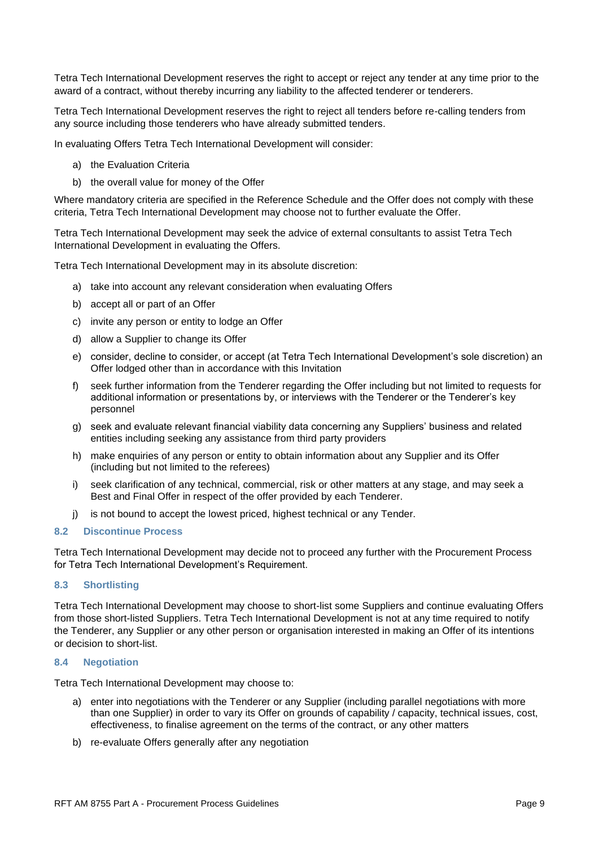Tetra Tech International Development reserves the right to accept or reject any tender at any time prior to the award of a contract, without thereby incurring any liability to the affected tenderer or tenderers.

Tetra Tech International Development reserves the right to reject all tenders before re-calling tenders from any source including those tenderers who have already submitted tenders.

In evaluating Offers Tetra Tech International Development will consider:

- a) the Evaluation Criteria
- b) the overall value for money of the Offer

Where mandatory criteria are specified in the Reference Schedule and the Offer does not comply with these criteria, Tetra Tech International Development may choose not to further evaluate the Offer.

Tetra Tech International Development may seek the advice of external consultants to assist Tetra Tech International Development in evaluating the Offers.

Tetra Tech International Development may in its absolute discretion:

- a) take into account any relevant consideration when evaluating Offers
- b) accept all or part of an Offer
- c) invite any person or entity to lodge an Offer
- d) allow a Supplier to change its Offer
- e) consider, decline to consider, or accept (at Tetra Tech International Development's sole discretion) an Offer lodged other than in accordance with this Invitation
- f) seek further information from the Tenderer regarding the Offer including but not limited to requests for additional information or presentations by, or interviews with the Tenderer or the Tenderer's key personnel
- g) seek and evaluate relevant financial viability data concerning any Suppliers' business and related entities including seeking any assistance from third party providers
- h) make enquiries of any person or entity to obtain information about any Supplier and its Offer (including but not limited to the referees)
- i) seek clarification of any technical, commercial, risk or other matters at any stage, and may seek a Best and Final Offer in respect of the offer provided by each Tenderer.
- j) is not bound to accept the lowest priced, highest technical or any Tender.

#### **8.2 Discontinue Process**

Tetra Tech International Development may decide not to proceed any further with the Procurement Process for Tetra Tech International Development's Requirement.

#### **8.3 Shortlisting**

Tetra Tech International Development may choose to short-list some Suppliers and continue evaluating Offers from those short-listed Suppliers. Tetra Tech International Development is not at any time required to notify the Tenderer, any Supplier or any other person or organisation interested in making an Offer of its intentions or decision to short-list.

#### **8.4 Negotiation**

Tetra Tech International Development may choose to:

- a) enter into negotiations with the Tenderer or any Supplier (including parallel negotiations with more than one Supplier) in order to vary its Offer on grounds of capability / capacity, technical issues, cost, effectiveness, to finalise agreement on the terms of the contract, or any other matters
- b) re-evaluate Offers generally after any negotiation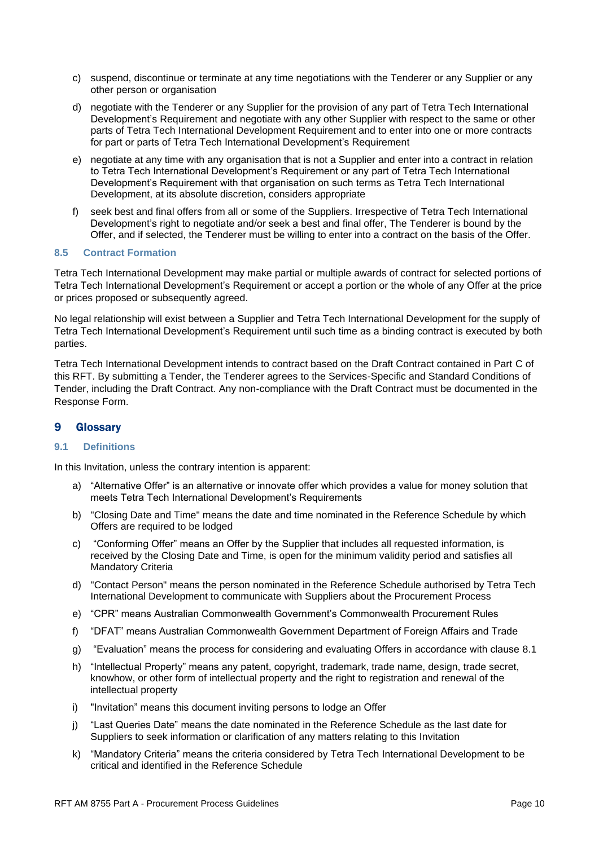- c) suspend, discontinue or terminate at any time negotiations with the Tenderer or any Supplier or any other person or organisation
- d) negotiate with the Tenderer or any Supplier for the provision of any part of Tetra Tech International Development's Requirement and negotiate with any other Supplier with respect to the same or other parts of Tetra Tech International Development Requirement and to enter into one or more contracts for part or parts of Tetra Tech International Development's Requirement
- e) negotiate at any time with any organisation that is not a Supplier and enter into a contract in relation to Tetra Tech International Development's Requirement or any part of Tetra Tech International Development's Requirement with that organisation on such terms as Tetra Tech International Development, at its absolute discretion, considers appropriate
- f) seek best and final offers from all or some of the Suppliers. Irrespective of Tetra Tech International Development's right to negotiate and/or seek a best and final offer, The Tenderer is bound by the Offer, and if selected, the Tenderer must be willing to enter into a contract on the basis of the Offer.

#### **8.5 Contract Formation**

Tetra Tech International Development may make partial or multiple awards of contract for selected portions of Tetra Tech International Development's Requirement or accept a portion or the whole of any Offer at the price or prices proposed or subsequently agreed.

No legal relationship will exist between a Supplier and Tetra Tech International Development for the supply of Tetra Tech International Development's Requirement until such time as a binding contract is executed by both parties.

Tetra Tech International Development intends to contract based on the Draft Contract contained in Part C of this RFT. By submitting a Tender, the Tenderer agrees to the Services-Specific and Standard Conditions of Tender, including the Draft Contract. Any non-compliance with the Draft Contract must be documented in the Response Form.

#### 9 Glossary

#### **9.1 Definitions**

In this Invitation, unless the contrary intention is apparent:

- a) "Alternative Offer" is an alternative or innovate offer which provides a value for money solution that meets Tetra Tech International Development's Requirements
- b) "Closing Date and Time" means the date and time nominated in the Reference Schedule by which Offers are required to be lodged
- c) "Conforming Offer" means an Offer by the Supplier that includes all requested information, is received by the Closing Date and Time, is open for the minimum validity period and satisfies all Mandatory Criteria
- d) "Contact Person" means the person nominated in the Reference Schedule authorised by Tetra Tech International Development to communicate with Suppliers about the Procurement Process
- e) "CPR" means Australian Commonwealth Government's Commonwealth Procurement Rules
- f) "DFAT" means Australian Commonwealth Government Department of Foreign Affairs and Trade
- g) "Evaluation" means the process for considering and evaluating Offers in accordance with clause [8.1](#page-8-0)
- h) "Intellectual Property" means any patent, copyright, trademark, trade name, design, trade secret, knowhow, or other form of intellectual property and the right to registration and renewal of the intellectual property
- i) "Invitation" means this document inviting persons to lodge an Offer
- j) "Last Queries Date" means the date nominated in the Reference Schedule as the last date for Suppliers to seek information or clarification of any matters relating to this Invitation
- k) "Mandatory Criteria" means the criteria considered by Tetra Tech International Development to be critical and identified in the Reference Schedule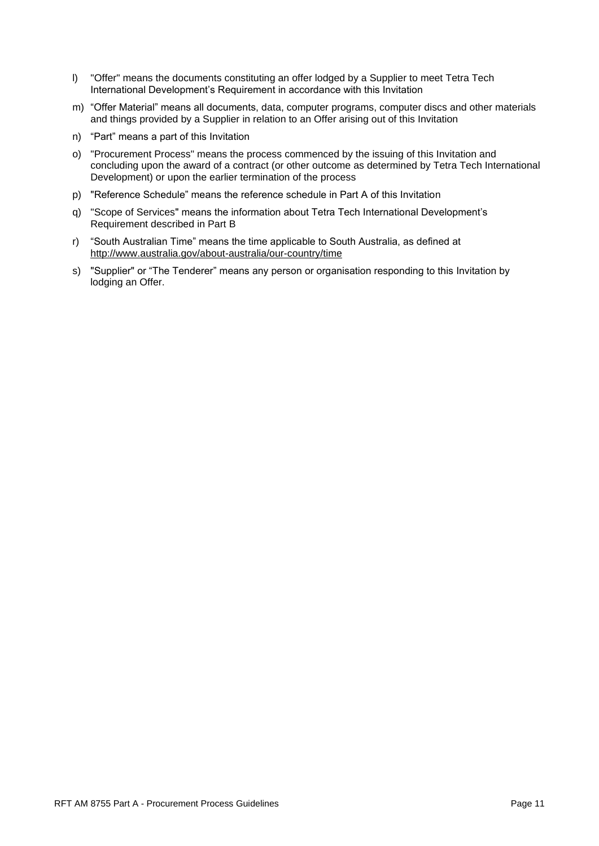- l) "Offer" means the documents constituting an offer lodged by a Supplier to meet Tetra Tech International Development's Requirement in accordance with this Invitation
- m) "Offer Material" means all documents, data, computer programs, computer discs and other materials and things provided by a Supplier in relation to an Offer arising out of this Invitation
- n) "Part" means a part of this Invitation
- o) "Procurement Process" means the process commenced by the issuing of this Invitation and concluding upon the award of a contract (or other outcome as determined by Tetra Tech International Development) or upon the earlier termination of the process
- p) "Reference Schedule" means the reference schedule in Part A of this Invitation
- q) "Scope of Services" means the information about Tetra Tech International Development's Requirement described in Part B
- r) "South Australian Time" means the time applicable to South Australia, as defined at <http://www.australia.gov/about-australia/our-country/time>
- s) "Supplier" or "The Tenderer" means any person or organisation responding to this Invitation by lodging an Offer.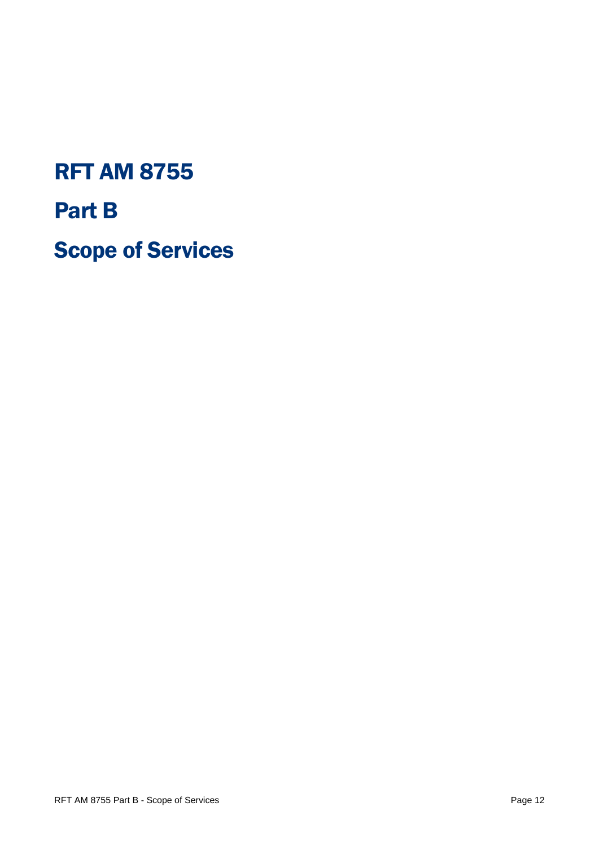# RFT AM 8755

Part B

Scope of Services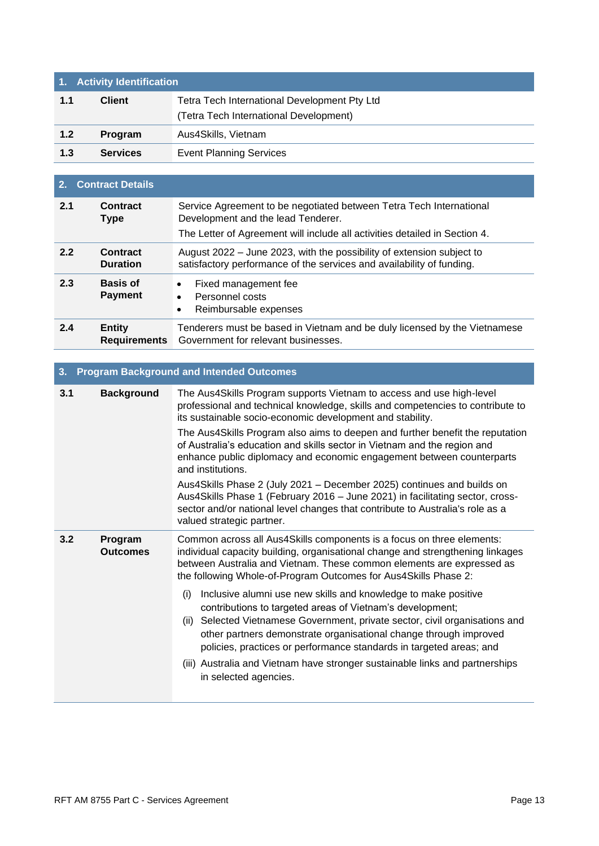| 1. Activity identification |                 |                                              |  |
|----------------------------|-----------------|----------------------------------------------|--|
| 1.1                        | <b>Client</b>   | Tetra Tech International Development Pty Ltd |  |
|                            |                 | (Tetra Tech International Development)       |  |
| 1.2                        | <b>Program</b>  | Aus4Skills, Vietnam                          |  |
| 1.3                        | <b>Services</b> | <b>Event Planning Services</b>               |  |

| 2.  | <b>Contract Details</b>              |                                                                                                                                                                                         |  |
|-----|--------------------------------------|-----------------------------------------------------------------------------------------------------------------------------------------------------------------------------------------|--|
| 2.1 | Contract<br><b>Type</b>              | Service Agreement to be negotiated between Tetra Tech International<br>Development and the lead Tenderer.<br>The Letter of Agreement will include all activities detailed in Section 4. |  |
| 2.2 | Contract<br><b>Duration</b>          | August 2022 – June 2023, with the possibility of extension subject to<br>satisfactory performance of the services and availability of funding.                                          |  |
| 2.3 | <b>Basis of</b><br><b>Payment</b>    | Fixed management fee<br>$\bullet$<br>Personnel costs<br>$\bullet$<br>Reimbursable expenses<br>٠                                                                                         |  |
| 2.4 | <b>Entity</b><br><b>Requirements</b> | Tenderers must be based in Vietnam and be duly licensed by the Vietnamese<br>Government for relevant businesses.                                                                        |  |

# **3. Program Background and Intended Outcomes**

| 3.1 | <b>Background</b>          | The Aus4Skills Program supports Vietnam to access and use high-level<br>professional and technical knowledge, skills and competencies to contribute to<br>its sustainable socio-economic development and stability.                                                                                                                                               |  |
|-----|----------------------------|-------------------------------------------------------------------------------------------------------------------------------------------------------------------------------------------------------------------------------------------------------------------------------------------------------------------------------------------------------------------|--|
|     |                            | The Aus4Skills Program also aims to deepen and further benefit the reputation<br>of Australia's education and skills sector in Vietnam and the region and<br>enhance public diplomacy and economic engagement between counterparts<br>and institutions.                                                                                                           |  |
|     |                            | Aus4Skills Phase 2 (July 2021 – December 2025) continues and builds on<br>Aus4Skills Phase 1 (February 2016 - June 2021) in facilitating sector, cross-<br>sector and/or national level changes that contribute to Australia's role as a<br>valued strategic partner.                                                                                             |  |
| 3.2 | Program<br><b>Outcomes</b> | Common across all Aus4Skills components is a focus on three elements:<br>individual capacity building, organisational change and strengthening linkages<br>between Australia and Vietnam. These common elements are expressed as<br>the following Whole-of-Program Outcomes for Aus4Skills Phase 2:                                                               |  |
|     |                            | Inclusive alumni use new skills and knowledge to make positive<br>(i)<br>contributions to targeted areas of Vietnam's development;<br>Selected Vietnamese Government, private sector, civil organisations and<br>(ii)<br>other partners demonstrate organisational change through improved<br>policies, practices or performance standards in targeted areas; and |  |
|     |                            | (iii) Australia and Vietnam have stronger sustainable links and partnerships<br>in selected agencies.                                                                                                                                                                                                                                                             |  |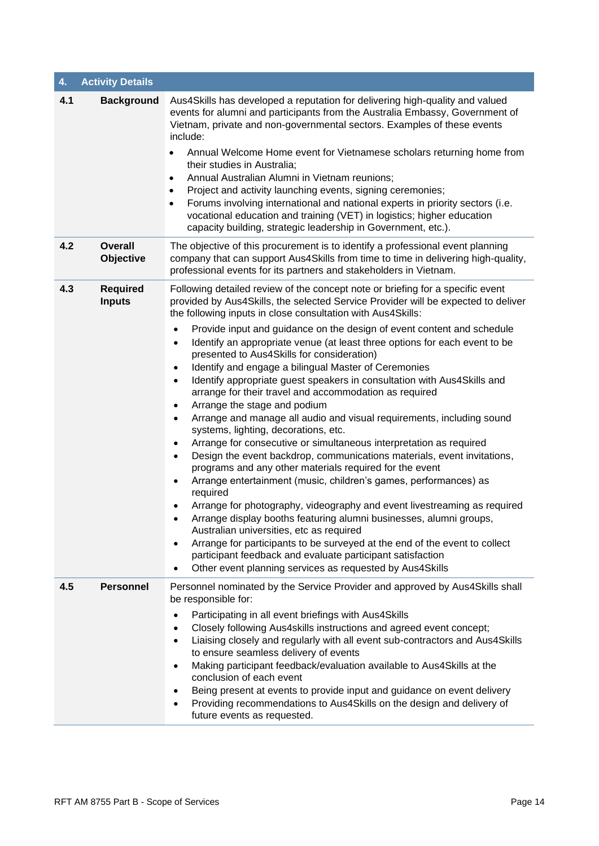| 4.  | <b>Activity Details</b>          |                                                                                                                                                                                                                                                                                                                                                                                                                                                                                                                                                                                                                                                                                                                                                                                                                                                                                                                                                                                                                                                                                                                                                                                                                                                                                                                                                                                                                                                                                                                                                                    |
|-----|----------------------------------|--------------------------------------------------------------------------------------------------------------------------------------------------------------------------------------------------------------------------------------------------------------------------------------------------------------------------------------------------------------------------------------------------------------------------------------------------------------------------------------------------------------------------------------------------------------------------------------------------------------------------------------------------------------------------------------------------------------------------------------------------------------------------------------------------------------------------------------------------------------------------------------------------------------------------------------------------------------------------------------------------------------------------------------------------------------------------------------------------------------------------------------------------------------------------------------------------------------------------------------------------------------------------------------------------------------------------------------------------------------------------------------------------------------------------------------------------------------------------------------------------------------------------------------------------------------------|
| 4.1 | <b>Background</b>                | Aus4Skills has developed a reputation for delivering high-quality and valued<br>events for alumni and participants from the Australia Embassy, Government of<br>Vietnam, private and non-governmental sectors. Examples of these events<br>include:<br>Annual Welcome Home event for Vietnamese scholars returning home from<br>their studies in Australia;<br>Annual Australian Alumni in Vietnam reunions;<br>$\bullet$<br>Project and activity launching events, signing ceremonies;<br>Forums involving international and national experts in priority sectors (i.e.<br>$\bullet$<br>vocational education and training (VET) in logistics; higher education<br>capacity building, strategic leadership in Government, etc.).                                                                                                                                                                                                                                                                                                                                                                                                                                                                                                                                                                                                                                                                                                                                                                                                                                   |
| 4.2 | <b>Overall</b><br>Objective      | The objective of this procurement is to identify a professional event planning<br>company that can support Aus4Skills from time to time in delivering high-quality,<br>professional events for its partners and stakeholders in Vietnam.                                                                                                                                                                                                                                                                                                                                                                                                                                                                                                                                                                                                                                                                                                                                                                                                                                                                                                                                                                                                                                                                                                                                                                                                                                                                                                                           |
| 4.3 | <b>Required</b><br><b>Inputs</b> | Following detailed review of the concept note or briefing for a specific event<br>provided by Aus4Skills, the selected Service Provider will be expected to deliver<br>the following inputs in close consultation with Aus4Skills:<br>Provide input and guidance on the design of event content and schedule<br>Identify an appropriate venue (at least three options for each event to be<br>٠<br>presented to Aus4Skills for consideration)<br>Identify and engage a bilingual Master of Ceremonies<br>٠<br>Identify appropriate guest speakers in consultation with Aus4Skills and<br>$\bullet$<br>arrange for their travel and accommodation as required<br>Arrange the stage and podium<br>٠<br>Arrange and manage all audio and visual requirements, including sound<br>٠<br>systems, lighting, decorations, etc.<br>Arrange for consecutive or simultaneous interpretation as required<br>٠<br>Design the event backdrop, communications materials, event invitations,<br>٠<br>programs and any other materials required for the event<br>Arrange entertainment (music, children's games, performances) as<br>$\bullet$<br>required<br>Arrange for photography, videography and event livestreaming as required<br>Arrange display booths featuring alumni businesses, alumni groups,<br>٠<br>Australian universities, etc as required<br>Arrange for participants to be surveyed at the end of the event to collect<br>$\bullet$<br>participant feedback and evaluate participant satisfaction<br>Other event planning services as requested by Aus4Skills |
| 4.5 | <b>Personnel</b>                 | Personnel nominated by the Service Provider and approved by Aus4Skills shall<br>be responsible for:<br>Participating in all event briefings with Aus4Skills<br>$\bullet$<br>Closely following Aus4skills instructions and agreed event concept;<br>$\bullet$<br>Liaising closely and regularly with all event sub-contractors and Aus4Skills<br>$\bullet$<br>to ensure seamless delivery of events<br>Making participant feedback/evaluation available to Aus4Skills at the<br>٠<br>conclusion of each event<br>Being present at events to provide input and guidance on event delivery<br>٠<br>Providing recommendations to Aus4Skills on the design and delivery of<br>$\bullet$<br>future events as requested.                                                                                                                                                                                                                                                                                                                                                                                                                                                                                                                                                                                                                                                                                                                                                                                                                                                  |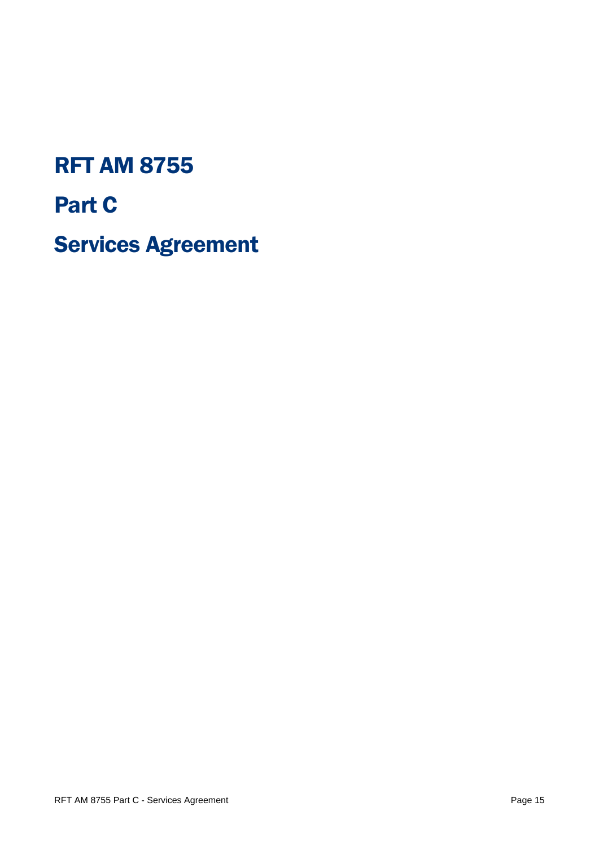# RFT AM 8755 Part C Services Agreement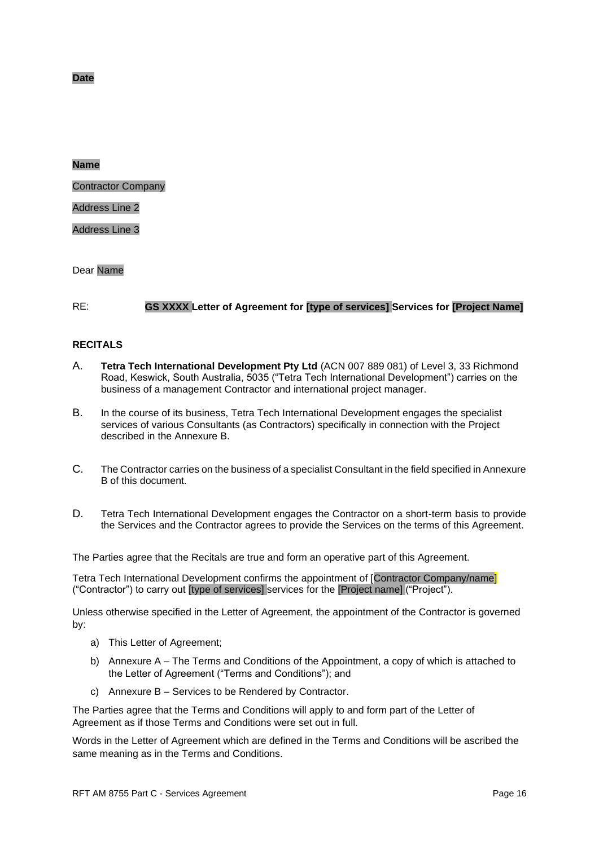**Date**

#### **Name**

Contractor Company

#### Address Line 2

Address Line 3

#### Dear Name

#### RE: **GS XXXX Letter of Agreement for [type of services] Services for [Project Name]**

#### **RECITALS**

- A. **Tetra Tech International Development Pty Ltd** (ACN 007 889 081) of Level 3, 33 Richmond Road, Keswick, South Australia, 5035 ("Tetra Tech International Development") carries on the business of a management Contractor and international project manager.
- B. In the course of its business, Tetra Tech International Development engages the specialist services of various Consultants (as Contractors) specifically in connection with the Project described in the Annexure B.
- C. The Contractor carries on the business of a specialist Consultant in the field specified in Annexure B of this document.
- D. Tetra Tech International Development engages the Contractor on a short-term basis to provide the Services and the Contractor agrees to provide the Services on the terms of this Agreement.

The Parties agree that the Recitals are true and form an operative part of this Agreement.

Tetra Tech International Development confirms the appointment of [Contractor Company/name] ("Contractor") to carry out [type of services] services for the [Project name] ("Project").

Unless otherwise specified in the Letter of Agreement, the appointment of the Contractor is governed by:

- a) This Letter of Agreement;
- b) Annexure A The Terms and Conditions of the Appointment, a copy of which is attached to the Letter of Agreement ("Terms and Conditions"); and
- c) Annexure B Services to be Rendered by Contractor.

The Parties agree that the Terms and Conditions will apply to and form part of the Letter of Agreement as if those Terms and Conditions were set out in full.

Words in the Letter of Agreement which are defined in the Terms and Conditions will be ascribed the same meaning as in the Terms and Conditions.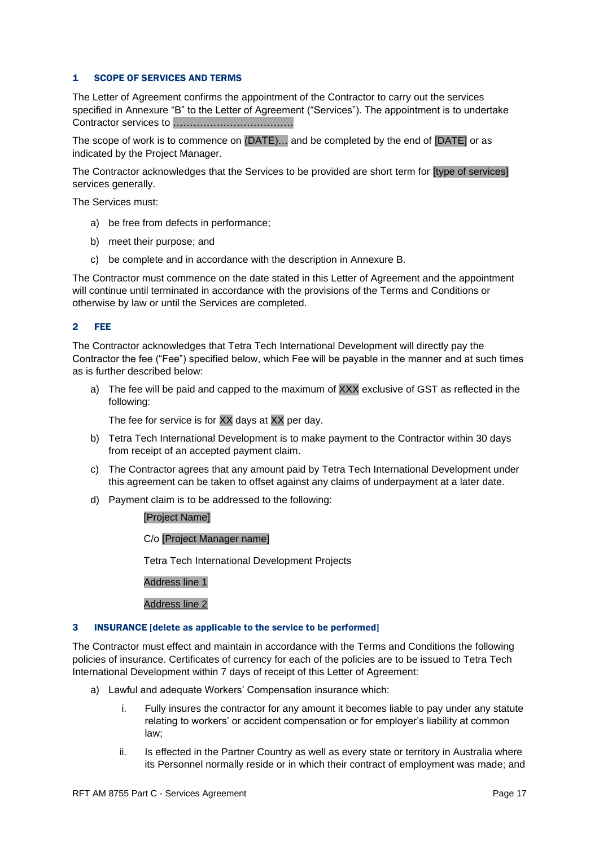#### 1 SCOPE OF SERVICES AND TERMS

The Letter of Agreement confirms the appointment of the Contractor to carry out the services specified in Annexure "B" to the Letter of Agreement ("Services"). The appointment is to undertake Contractor services to ………………………………

The scope of work is to commence on (DATE)… and be completed by the end of [DATE] or as indicated by the Project Manager.

The Contractor acknowledges that the Services to be provided are short term for [type of services] services generally.

The Services must:

- a) be free from defects in performance;
- b) meet their purpose; and
- c) be complete and in accordance with the description in Annexure B.

The Contractor must commence on the date stated in this Letter of Agreement and the appointment will continue until terminated in accordance with the provisions of the Terms and Conditions or otherwise by law or until the Services are completed.

#### 2 FEE

The Contractor acknowledges that Tetra Tech International Development will directly pay the Contractor the fee ("Fee") specified below, which Fee will be payable in the manner and at such times as is further described below:

a) The fee will be paid and capped to the maximum of XXX exclusive of GST as reflected in the following:

The fee for service is for XX days at XX per day.

- b) Tetra Tech International Development is to make payment to the Contractor within 30 days from receipt of an accepted payment claim.
- c) The Contractor agrees that any amount paid by Tetra Tech International Development under this agreement can be taken to offset against any claims of underpayment at a later date.
- d) Payment claim is to be addressed to the following:

#### [Project Name]

C/o [Project Manager name]

Tetra Tech International Development Projects

Address line 1

Address line 2

#### 3 INSURANCE [delete as applicable to the service to be performed]

The Contractor must effect and maintain in accordance with the Terms and Conditions the following policies of insurance. Certificates of currency for each of the policies are to be issued to Tetra Tech International Development within 7 days of receipt of this Letter of Agreement:

- a) Lawful and adequate Workers' Compensation insurance which:
	- i. Fully insures the contractor for any amount it becomes liable to pay under any statute relating to workers' or accident compensation or for employer's liability at common law;
	- ii. Is effected in the Partner Country as well as every state or territory in Australia where its Personnel normally reside or in which their contract of employment was made; and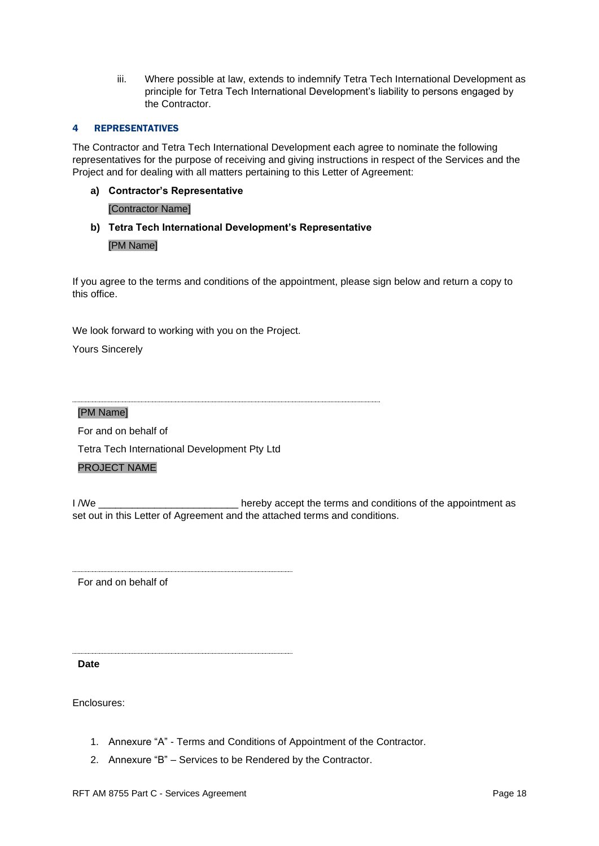iii. Where possible at law, extends to indemnify Tetra Tech International Development as principle for Tetra Tech International Development's liability to persons engaged by the Contractor.

#### 4 REPRESENTATIVES

The Contractor and Tetra Tech International Development each agree to nominate the following representatives for the purpose of receiving and giving instructions in respect of the Services and the Project and for dealing with all matters pertaining to this Letter of Agreement:

#### **a) Contractor's Representative**

#### [Contractor Name]

**b) Tetra Tech International Development's Representative** [PM Name]

If you agree to the terms and conditions of the appointment, please sign below and return a copy to this office.

We look forward to working with you on the Project.

Yours Sincerely

[PM Name]

For and on behalf of

Tetra Tech International Development Pty Ltd

#### PROJECT NAME

I /We \_\_\_\_\_\_\_\_\_\_\_\_\_\_\_\_\_\_\_\_\_\_\_\_\_\_\_\_\_\_\_\_\_\_ hereby accept the terms and conditions of the appointment as set out in this Letter of Agreement and the attached terms and conditions.

For and on behalf of

**Date**

Enclosures:

- 1. Annexure "A" Terms and Conditions of Appointment of the Contractor.
- 2. Annexure "B" Services to be Rendered by the Contractor.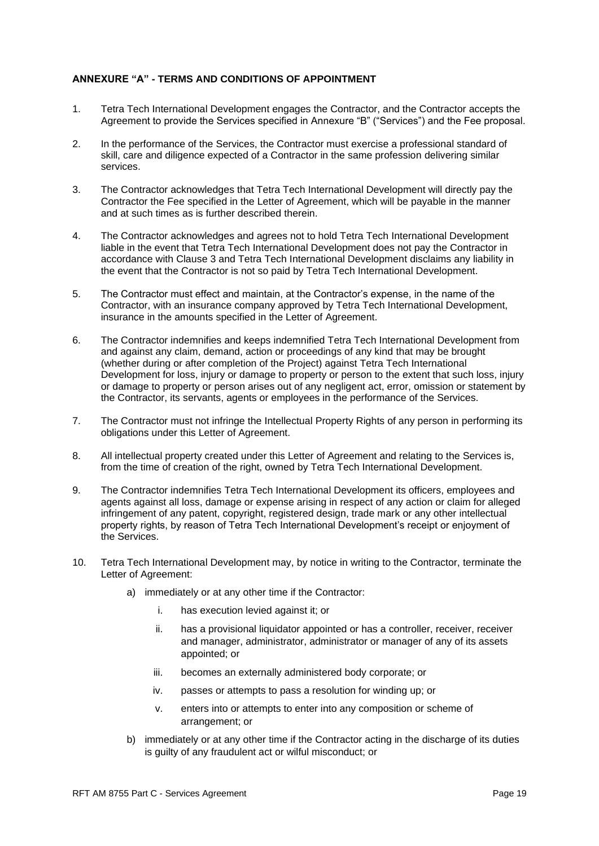#### **ANNEXURE "A" - TERMS AND CONDITIONS OF APPOINTMENT**

- 1. Tetra Tech International Development engages the Contractor, and the Contractor accepts the Agreement to provide the Services specified in Annexure "B" ("Services") and the Fee proposal.
- 2. In the performance of the Services, the Contractor must exercise a professional standard of skill, care and diligence expected of a Contractor in the same profession delivering similar services.
- 3. The Contractor acknowledges that Tetra Tech International Development will directly pay the Contractor the Fee specified in the Letter of Agreement, which will be payable in the manner and at such times as is further described therein.
- 4. The Contractor acknowledges and agrees not to hold Tetra Tech International Development liable in the event that Tetra Tech International Development does not pay the Contractor in accordance with Clause 3 and Tetra Tech International Development disclaims any liability in the event that the Contractor is not so paid by Tetra Tech International Development.
- 5. The Contractor must effect and maintain, at the Contractor's expense, in the name of the Contractor, with an insurance company approved by Tetra Tech International Development, insurance in the amounts specified in the Letter of Agreement.
- 6. The Contractor indemnifies and keeps indemnified Tetra Tech International Development from and against any claim, demand, action or proceedings of any kind that may be brought (whether during or after completion of the Project) against Tetra Tech International Development for loss, injury or damage to property or person to the extent that such loss, injury or damage to property or person arises out of any negligent act, error, omission or statement by the Contractor, its servants, agents or employees in the performance of the Services.
- 7. The Contractor must not infringe the Intellectual Property Rights of any person in performing its obligations under this Letter of Agreement.
- 8. All intellectual property created under this Letter of Agreement and relating to the Services is, from the time of creation of the right, owned by Tetra Tech International Development.
- 9. The Contractor indemnifies Tetra Tech International Development its officers, employees and agents against all loss, damage or expense arising in respect of any action or claim for alleged infringement of any patent, copyright, registered design, trade mark or any other intellectual property rights, by reason of Tetra Tech International Development's receipt or enjoyment of the Services.
- 10. Tetra Tech International Development may, by notice in writing to the Contractor, terminate the Letter of Agreement:
	- a) immediately or at any other time if the Contractor:
		- i. has execution levied against it; or
		- ii. has a provisional liquidator appointed or has a controller, receiver, receiver and manager, administrator, administrator or manager of any of its assets appointed; or
		- iii. becomes an externally administered body corporate; or
		- iv. passes or attempts to pass a resolution for winding up; or
		- v. enters into or attempts to enter into any composition or scheme of arrangement; or
	- b) immediately or at any other time if the Contractor acting in the discharge of its duties is guilty of any fraudulent act or wilful misconduct; or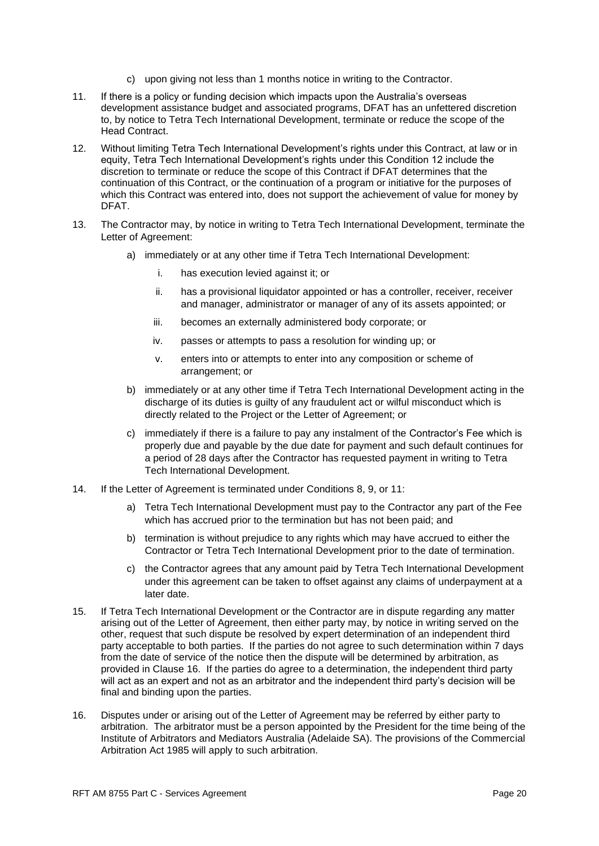- c) upon giving not less than 1 months notice in writing to the Contractor.
- 11. If there is a policy or funding decision which impacts upon the Australia's overseas development assistance budget and associated programs, DFAT has an unfettered discretion to, by notice to Tetra Tech International Development, terminate or reduce the scope of the Head Contract.
- 12. Without limiting Tetra Tech International Development's rights under this Contract, at law or in equity, Tetra Tech International Development's rights under this Condition 12 include the discretion to terminate or reduce the scope of this Contract if DFAT determines that the continuation of this Contract, or the continuation of a program or initiative for the purposes of which this Contract was entered into, does not support the achievement of value for money by DFAT.
- 13. The Contractor may, by notice in writing to Tetra Tech International Development, terminate the Letter of Agreement:
	- a) immediately or at any other time if Tetra Tech International Development:
		- i. has execution levied against it; or
		- ii. has a provisional liquidator appointed or has a controller, receiver, receiver and manager, administrator or manager of any of its assets appointed; or
		- iii. becomes an externally administered body corporate; or
		- iv. passes or attempts to pass a resolution for winding up; or
		- v. enters into or attempts to enter into any composition or scheme of arrangement; or
	- b) immediately or at any other time if Tetra Tech International Development acting in the discharge of its duties is guilty of any fraudulent act or wilful misconduct which is directly related to the Project or the Letter of Agreement; or
	- c) immediately if there is a failure to pay any instalment of the Contractor's Fee which is properly due and payable by the due date for payment and such default continues for a period of 28 days after the Contractor has requested payment in writing to Tetra Tech International Development.
- 14. If the Letter of Agreement is terminated under Conditions 8, 9, or 11:
	- a) Tetra Tech International Development must pay to the Contractor any part of the Fee which has accrued prior to the termination but has not been paid; and
	- b) termination is without prejudice to any rights which may have accrued to either the Contractor or Tetra Tech International Development prior to the date of termination.
	- c) the Contractor agrees that any amount paid by Tetra Tech International Development under this agreement can be taken to offset against any claims of underpayment at a later date.
- 15. If Tetra Tech International Development or the Contractor are in dispute regarding any matter arising out of the Letter of Agreement, then either party may, by notice in writing served on the other, request that such dispute be resolved by expert determination of an independent third party acceptable to both parties. If the parties do not agree to such determination within 7 days from the date of service of the notice then the dispute will be determined by arbitration, as provided in Clause 16. If the parties do agree to a determination, the independent third party will act as an expert and not as an arbitrator and the independent third party's decision will be final and binding upon the parties.
- 16. Disputes under or arising out of the Letter of Agreement may be referred by either party to arbitration. The arbitrator must be a person appointed by the President for the time being of the Institute of Arbitrators and Mediators Australia (Adelaide SA). The provisions of the Commercial Arbitration Act 1985 will apply to such arbitration.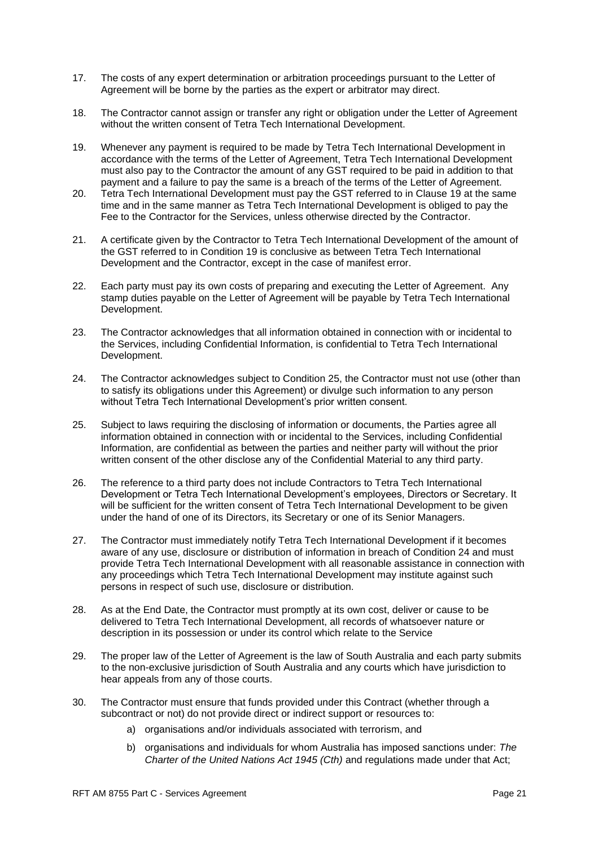- 17. The costs of any expert determination or arbitration proceedings pursuant to the Letter of Agreement will be borne by the parties as the expert or arbitrator may direct.
- 18. The Contractor cannot assign or transfer any right or obligation under the Letter of Agreement without the written consent of Tetra Tech International Development.
- 19. Whenever any payment is required to be made by Tetra Tech International Development in accordance with the terms of the Letter of Agreement, Tetra Tech International Development must also pay to the Contractor the amount of any GST required to be paid in addition to that payment and a failure to pay the same is a breach of the terms of the Letter of Agreement.
- 20. Tetra Tech International Development must pay the GST referred to in Clause 19 at the same time and in the same manner as Tetra Tech International Development is obliged to pay the Fee to the Contractor for the Services, unless otherwise directed by the Contractor.
- 21. A certificate given by the Contractor to Tetra Tech International Development of the amount of the GST referred to in Condition 19 is conclusive as between Tetra Tech International Development and the Contractor, except in the case of manifest error.
- 22. Each party must pay its own costs of preparing and executing the Letter of Agreement. Any stamp duties payable on the Letter of Agreement will be payable by Tetra Tech International Development.
- 23. The Contractor acknowledges that all information obtained in connection with or incidental to the Services, including Confidential Information, is confidential to Tetra Tech International Development.
- 24. The Contractor acknowledges subject to Condition 25, the Contractor must not use (other than to satisfy its obligations under this Agreement) or divulge such information to any person without Tetra Tech International Development's prior written consent.
- 25. Subject to laws requiring the disclosing of information or documents, the Parties agree all information obtained in connection with or incidental to the Services, including Confidential Information, are confidential as between the parties and neither party will without the prior written consent of the other disclose any of the Confidential Material to any third party.
- 26. The reference to a third party does not include Contractors to Tetra Tech International Development or Tetra Tech International Development's employees, Directors or Secretary. It will be sufficient for the written consent of Tetra Tech International Development to be given under the hand of one of its Directors, its Secretary or one of its Senior Managers.
- 27. The Contractor must immediately notify Tetra Tech International Development if it becomes aware of any use, disclosure or distribution of information in breach of Condition 24 and must provide Tetra Tech International Development with all reasonable assistance in connection with any proceedings which Tetra Tech International Development may institute against such persons in respect of such use, disclosure or distribution.
- 28. As at the End Date, the Contractor must promptly at its own cost, deliver or cause to be delivered to Tetra Tech International Development, all records of whatsoever nature or description in its possession or under its control which relate to the Service
- 29. The proper law of the Letter of Agreement is the law of South Australia and each party submits to the non-exclusive jurisdiction of South Australia and any courts which have jurisdiction to hear appeals from any of those courts.
- 30. The Contractor must ensure that funds provided under this Contract (whether through a subcontract or not) do not provide direct or indirect support or resources to:
	- a) organisations and/or individuals associated with terrorism, and
	- b) organisations and individuals for whom Australia has imposed sanctions under: *The Charter of the United Nations Act 1945 (Cth)* and regulations made under that Act;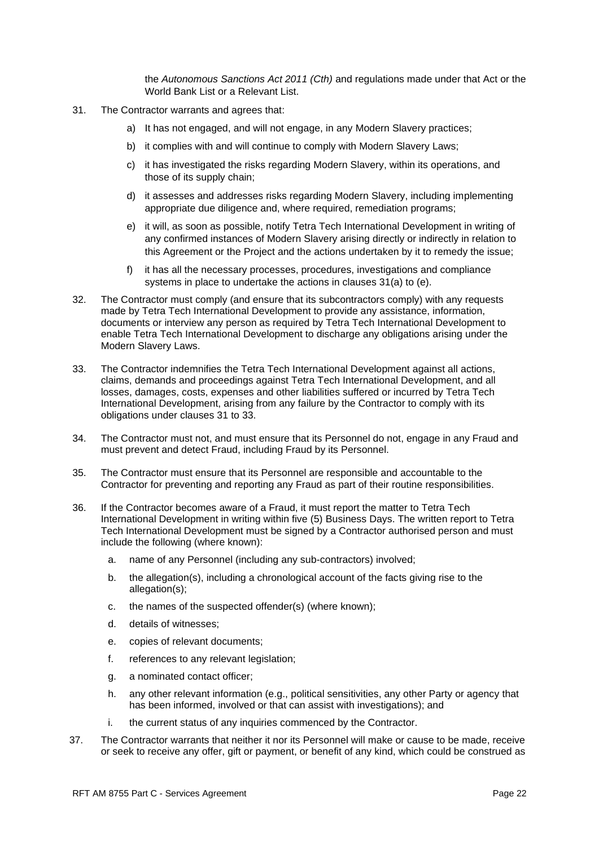the *Autonomous Sanctions Act 2011 (Cth)* and regulations made under that Act or the World Bank List or a Relevant List.

- 31. The Contractor warrants and agrees that:
	- a) It has not engaged, and will not engage, in any Modern Slavery practices;
	- b) it complies with and will continue to comply with Modern Slavery Laws;
	- c) it has investigated the risks regarding Modern Slavery, within its operations, and those of its supply chain;
	- d) it assesses and addresses risks regarding Modern Slavery, including implementing appropriate due diligence and, where required, remediation programs;
	- e) it will, as soon as possible, notify Tetra Tech International Development in writing of any confirmed instances of Modern Slavery arising directly or indirectly in relation to this Agreement or the Project and the actions undertaken by it to remedy the issue;
	- f) it has all the necessary processes, procedures, investigations and compliance systems in place to undertake the actions in clauses 31(a) to (e).
- 32. The Contractor must comply (and ensure that its subcontractors comply) with any requests made by Tetra Tech International Development to provide any assistance, information, documents or interview any person as required by Tetra Tech International Development to enable Tetra Tech International Development to discharge any obligations arising under the Modern Slavery Laws.
- 33. The Contractor indemnifies the Tetra Tech International Development against all actions, claims, demands and proceedings against Tetra Tech International Development, and all losses, damages, costs, expenses and other liabilities suffered or incurred by Tetra Tech International Development, arising from any failure by the Contractor to comply with its obligations under clauses 31 to 33.
- 34. The Contractor must not, and must ensure that its Personnel do not, engage in any Fraud and must prevent and detect Fraud, including Fraud by its Personnel.
- 35. The Contractor must ensure that its Personnel are responsible and accountable to the Contractor for preventing and reporting any Fraud as part of their routine responsibilities.
- 36. If the Contractor becomes aware of a Fraud, it must report the matter to Tetra Tech International Development in writing within five (5) Business Days. The written report to Tetra Tech International Development must be signed by a Contractor authorised person and must include the following (where known):
	- a. name of any Personnel (including any sub-contractors) involved;
	- b. the allegation(s), including a chronological account of the facts giving rise to the allegation(s);
	- c. the names of the suspected offender(s) (where known);
	- d. details of witnesses;
	- e. copies of relevant documents;
	- f. references to any relevant legislation;
	- g. a nominated contact officer;
	- h. any other relevant information (e.g., political sensitivities, any other Party or agency that has been informed, involved or that can assist with investigations); and
	- i. the current status of any inquiries commenced by the Contractor.
- 37. The Contractor warrants that neither it nor its Personnel will make or cause to be made, receive or seek to receive any offer, gift or payment, or benefit of any kind, which could be construed as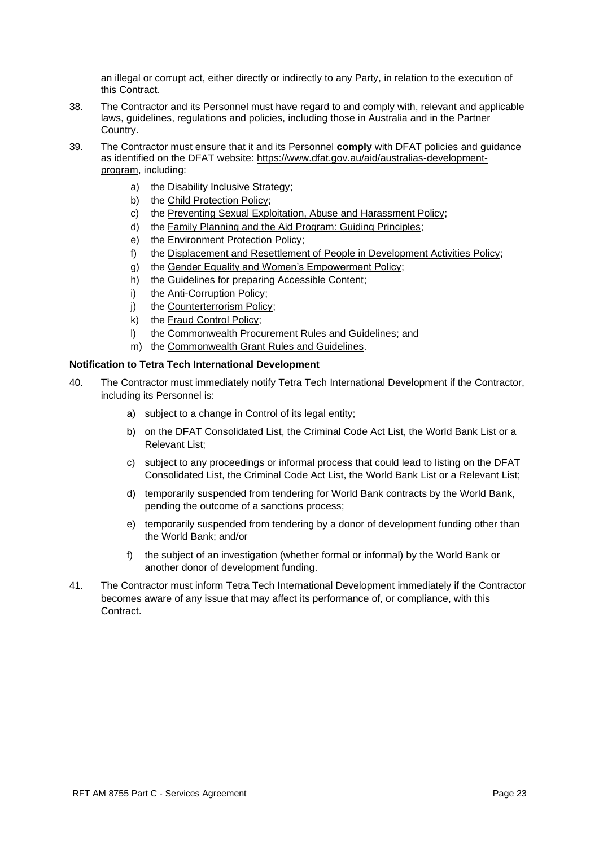an illegal or corrupt act, either directly or indirectly to any Party, in relation to the execution of this Contract.

- 38. The Contractor and its Personnel must have regard to and comply with, relevant and applicable laws, guidelines, regulations and policies, including those in Australia and in the Partner Country.
- 39. The Contractor must ensure that it and its Personnel **comply** with DFAT policies and guidance as identified on the DFAT website: [https://www.dfat.gov.au/aid/australias-development](https://www.dfat.gov.au/aid/australias-development-program)[program,](https://www.dfat.gov.au/aid/australias-development-program) including:
	- a) the [Disability Inclusive Strategy;](http://dfat.gov.au/about-us/publications/Pages/disability-action-strategy-2017-2020.aspx)
	- b) the [Child Protection Policy;](http://dfat.gov.au/international-relations/themes/child-protection/Pages/child-protection.aspx)
	- c) the [Preventing Sexual Exploitation, Abuse and Harassment Policy;](http://www.dfat.gov.au/pseah)
	- d) the [Family Planning and the Aid Program: Guiding Principles;](https://www.dfat.gov.au/about-us/publications/Pages/family-planning-and-the-aid-program-guiding-principles)
	- e) the [Environment Protection Policy;](https://www.dfat.gov.au/sites/default/files/environment-protection-policy-aid-program.pdf)
	- f) the [Displacement and Resettlement of People in Development Activities Policy;](https://www.dfat.gov.au/about-us/publications/Pages/displacement-and-resettlement-of-people-in-development-activities)
	- g) the [Gender Equality and Women's Empowerment Policy;](https://www.dfat.gov.au/sites/default/files/gender-equality-and-womens-empowerment-strategy.pdf)
	- h) the [Guidelines for preparing Accessible Content;](https://www.dfat.gov.au/about-us/publications/Pages/accessibility-design-guide-universal-design-principles-for-australia-s-aid-program)
	- i) the [Anti-Corruption Policy;](https://dfat.gov.au/aid/topics/investment-priorities/effective-governance/law-and-justice/Pages/law-and-justice-initiatives.aspx)
	- j) the [Counterterrorism Policy;](https://www.dfat.gov.au/international-relations/security/counter-terrorism/Pages/counter-terrorism)
	- k) the [Fraud Control Policy;](https://dfat.gov.au/about-us/corporate/fraud-control/Pages/fraud-control.aspx)
	- l) the [Commonwealth Procurement Rules and Guidelines;](https://www.finance.gov.au/government/procurement/commonwealth-procurement-rules) and
	- m) the [Commonwealth Grant Rules and Guidelines.](https://www.finance.gov.au/government/commonwealth-grants/commonwealth-grants-rules-guidelines)

#### **Notification to Tetra Tech International Development**

- 40. The Contractor must immediately notify Tetra Tech International Development if the Contractor, including its Personnel is:
	- a) subject to a change in Control of its legal entity;
	- b) on the DFAT Consolidated List, the Criminal Code Act List, the World Bank List or a Relevant List;
	- c) subject to any proceedings or informal process that could lead to listing on the DFAT Consolidated List, the Criminal Code Act List, the World Bank List or a Relevant List;
	- d) temporarily suspended from tendering for World Bank contracts by the World Bank, pending the outcome of a sanctions process;
	- e) temporarily suspended from tendering by a donor of development funding other than the World Bank; and/or
	- f) the subject of an investigation (whether formal or informal) by the World Bank or another donor of development funding.
- 41. The Contractor must inform Tetra Tech International Development immediately if the Contractor becomes aware of any issue that may affect its performance of, or compliance, with this **Contract.**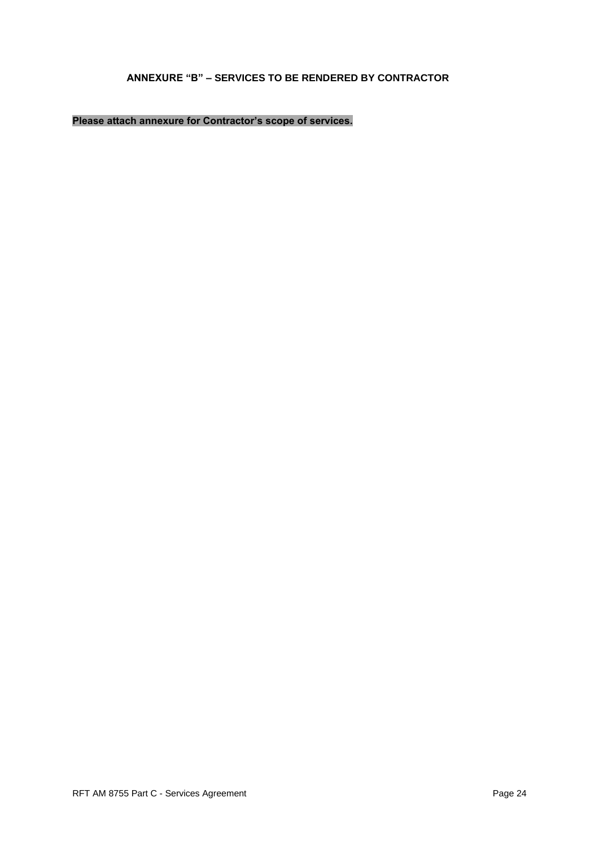# **ANNEXURE "B" – SERVICES TO BE RENDERED BY CONTRACTOR**

# **Please attach annexure for Contractor's scope of services.**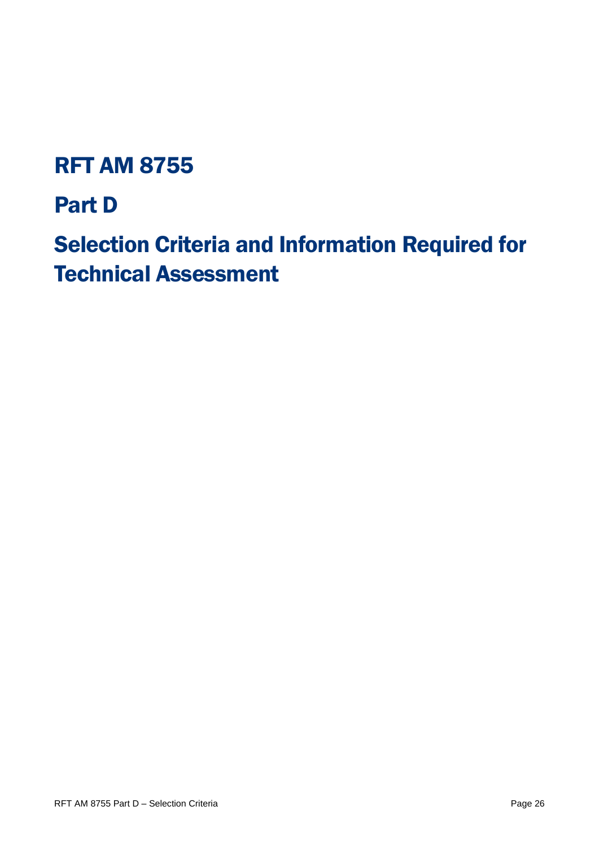# RFT AM 8755

# Part D

Selection Criteria and Information Required for Technical Assessment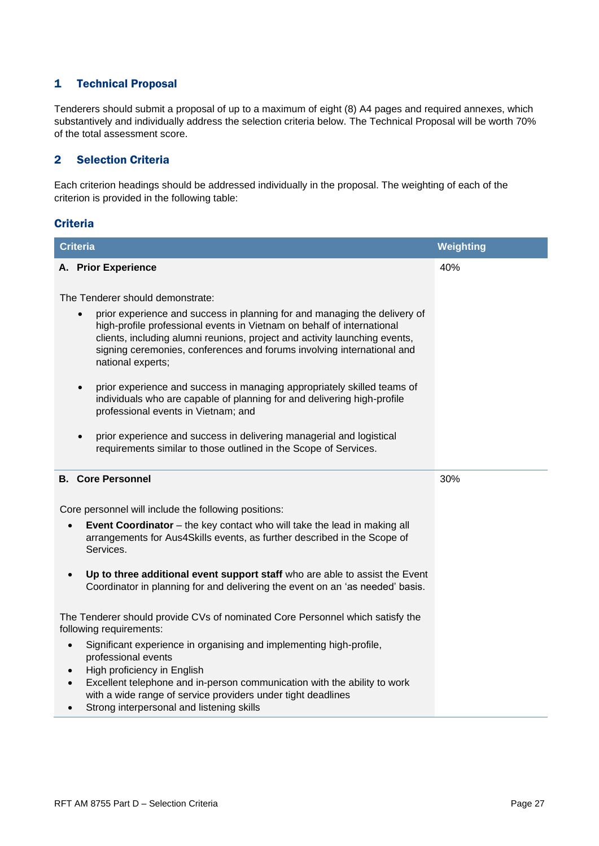### 1 Technical Proposal

Tenderers should submit a proposal of up to a maximum of eight (8) A4 pages and required annexes, which substantively and individually address the selection criteria below. The Technical Proposal will be worth 70% of the total assessment score.

### 2 Selection Criteria

Each criterion headings should be addressed individually in the proposal. The weighting of each of the criterion is provided in the following table:

#### **Criteria**

| <b>Criteria</b>                                                                                                                                                                                                                                                                                                                              | Weighting |
|----------------------------------------------------------------------------------------------------------------------------------------------------------------------------------------------------------------------------------------------------------------------------------------------------------------------------------------------|-----------|
| A. Prior Experience                                                                                                                                                                                                                                                                                                                          | 40%       |
|                                                                                                                                                                                                                                                                                                                                              |           |
| The Tenderer should demonstrate:                                                                                                                                                                                                                                                                                                             |           |
| prior experience and success in planning for and managing the delivery of<br>high-profile professional events in Vietnam on behalf of international<br>clients, including alumni reunions, project and activity launching events,<br>signing ceremonies, conferences and forums involving international and<br>national experts;             |           |
| prior experience and success in managing appropriately skilled teams of<br>$\bullet$<br>individuals who are capable of planning for and delivering high-profile<br>professional events in Vietnam; and                                                                                                                                       |           |
| prior experience and success in delivering managerial and logistical<br>$\bullet$<br>requirements similar to those outlined in the Scope of Services.                                                                                                                                                                                        |           |
| <b>B.</b> Core Personnel                                                                                                                                                                                                                                                                                                                     | 30%       |
| Core personnel will include the following positions:                                                                                                                                                                                                                                                                                         |           |
| <b>Event Coordinator</b> – the key contact who will take the lead in making all<br>arrangements for Aus4Skills events, as further described in the Scope of<br>Services.                                                                                                                                                                     |           |
| Up to three additional event support staff who are able to assist the Event<br>$\bullet$<br>Coordinator in planning for and delivering the event on an 'as needed' basis.                                                                                                                                                                    |           |
| The Tenderer should provide CVs of nominated Core Personnel which satisfy the<br>following requirements:                                                                                                                                                                                                                                     |           |
| Significant experience in organising and implementing high-profile,<br>$\bullet$<br>professional events<br>High proficiency in English<br>Excellent telephone and in-person communication with the ability to work<br>with a wide range of service providers under tight deadlines<br>Strong interpersonal and listening skills<br>$\bullet$ |           |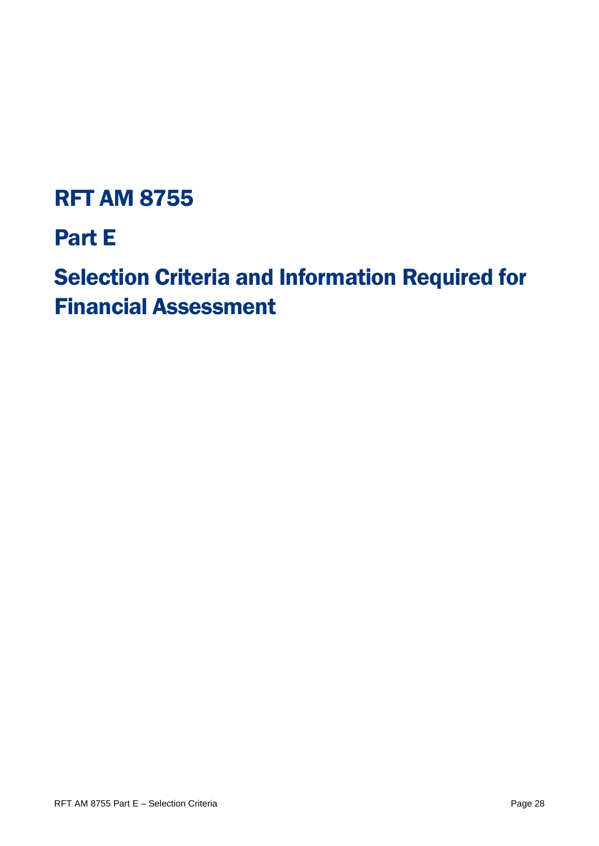# RFT AM 8755

# Part E

# Selection Criteria and Information Required for Financial Assessment